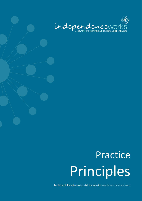

## Practice Principles

For further information please visit our website: www.independenceworks.net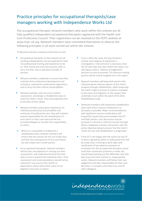## Practice principles for occupational therapists/case managers working with Independence Works Ltd

The occupational therapist network members who work within this scheme are all fully qualified independent occupational therapists registered with the Health and Care Professions Council. Their registration can be checked on the HCPC website at www.hcpc-uk.org. Network members have committed themselves to observe the following principles in all work carried out within the scheme.

Professional decision-making and the duty of care:

- ⚫ Occupational therapists on the network are all working independently and are expected to have the professional training and experience to do so. They should also have the business skills to carry out their role as specialist provider of services.
- ⚫ Network members undertake to ensure that they maintain their professional development and training as required for professional registration, and to carry out their clinical responsibilities.
- Network members will carry out a holistic assessment, and design a rehabilitation plan to meet the client's needs. They will implement this to the best of their ability.
- Network members place great importance on individual professional accountability and continuity of professional care: they will maintain overall responsibility for the rehabilitation of each client on their case load and will not normally delegate or transfer this responsibility to others.
- Where it is impossible to implement a rehabilitation plan, network members will ensure that the reasons for this are made clear and that the consequences of any such failure are also made clear to both parties.
- ⚫ As occupational therapists, network members will be clear and objective in carrying out their assessments, and understand clearly that their duty of care is towards the individual client. Their assessment and recommendations should not be coloured in any way by their beliefs or expectations about what either party to any litigation may want or expect.
- If (as is often the case), the way forward is unclear and a degree of exploration / investigation / trial and error is necessary, then the OT will make this clear within the report, but will always make a "balance of judgement" decision on how to proceed. This decision making process will be clearly mapped out in the report.
- ⚫ Network members will keep both parties fully informed about relevant aspects of the client's progress through rehabilitation, while respecting the client's right to privacy in matters unrelated to the injury and litigation. In this respect they undertake to act within the spirit of the 2015 Rehabilitation Code.
- ⚫ Networks members will implement rehabilitation plans with minor resource implications as promptly as possible. Major recommendations with significant resource implications will frequently require discussion between the OT and both parties: such discussions may be pursued in a formal or informal manner through letters, telephone contacts and emails, with the prime objective being to ensure that the client's needs are met and rehabilitation is progressed.
- If the OT is not happy with the action (or lack of it) that is agreed by either or both parties this will be made clear in writing to both sides with clarification of any adverse outcomes or increased risk: the occupational therapist cannot insist that a particular provision is made, but should keep pointing out the difficulties and risks that may arise from inaction or inappropriate action. Network members will follow their own judgement and take responsibility for their own decisions. In complex cases they may consult with colleagues.